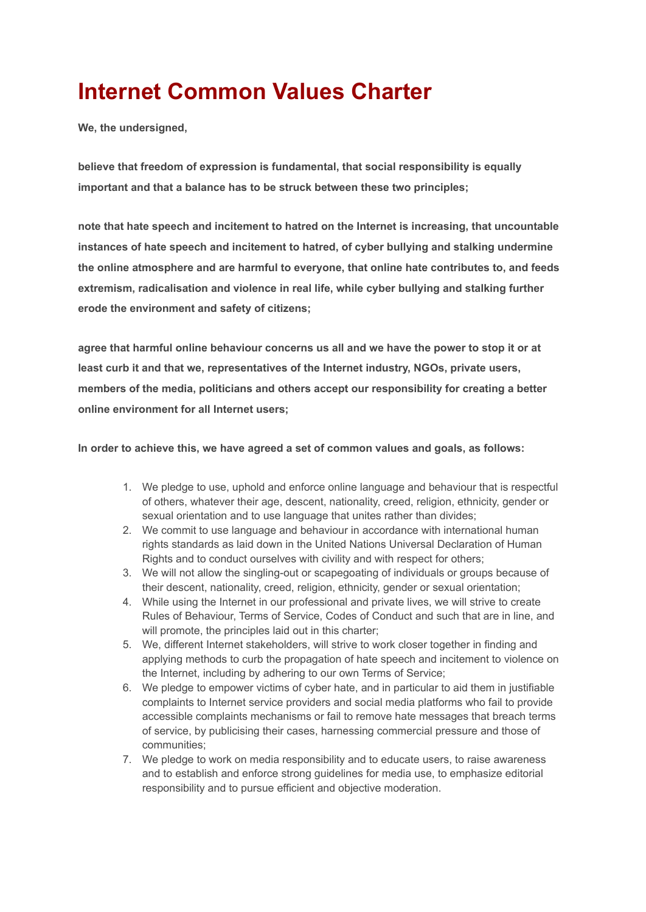## **Internet Common Values Charter**

**We, the undersigned,**

**believe that freedom of expression is fundamental, that social responsibility is equally important and that a balance has to be struck between these two principles;**

**note that hate speech and incitement to hatred on the Internet is increasing, that uncountable instances of hate speech and incitement to hatred, of cyber bullying and stalking undermine the online atmosphere and are harmful to everyone, that online hate contributes to, and feeds extremism, radicalisation and violence in real life, while cyber bullying and stalking further erode the environment and safety of citizens;**

**agree that harmful online behaviour concerns us all and we have the power to stop it or at least curb it and that we, representatives of the Internet industry, NGOs, private users, members of the media, politicians and others accept our responsibility for creating a better online environment for all Internet users;**

**In order to achieve this, we have agreed a set of common values and goals, as follows:**

- 1. We pledge to use, uphold and enforce online language and behaviour that is respectful of others, whatever their age, descent, nationality, creed, religion, ethnicity, gender or sexual orientation and to use language that unites rather than divides;
- 2. We commit to use language and behaviour in accordance with international human rights standards as laid down in the United Nations Universal Declaration of Human Rights and to conduct ourselves with civility and with respect for others;
- 3. We will not allow the singling-out or scapegoating of individuals or groups because of their descent, nationality, creed, religion, ethnicity, gender or sexual orientation;
- 4. While using the Internet in our professional and private lives, we will strive to create Rules of Behaviour, Terms of Service, Codes of Conduct and such that are in line, and will promote, the principles laid out in this charter;
- 5. We, different Internet stakeholders, will strive to work closer together in finding and applying methods to curb the propagation of hate speech and incitement to violence on the Internet, including by adhering to our own Terms of Service;
- 6. We pledge to empower victims of cyber hate, and in particular to aid them in justifiable complaints to Internet service providers and social media platforms who fail to provide accessible complaints mechanisms or fail to remove hate messages that breach terms of service, by publicising their cases, harnessing commercial pressure and those of communities;
- 7. We pledge to work on media responsibility and to educate users, to raise awareness and to establish and enforce strong guidelines for media use, to emphasize editorial responsibility and to pursue efficient and objective moderation.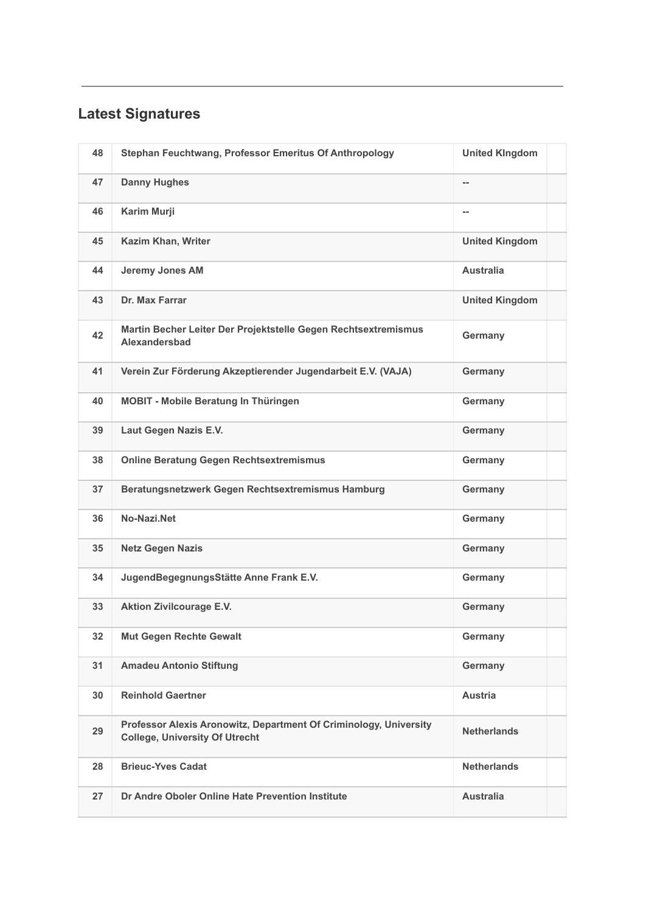## **Latest Signatures**

| 48 | Stephan Feuchtwang, Professor Emeritus Of Anthropology                                                     | <b>United KIngdom</b> |  |
|----|------------------------------------------------------------------------------------------------------------|-----------------------|--|
| 47 | <b>Danny Hughes</b>                                                                                        | --                    |  |
| 46 | Karim Murji                                                                                                | --                    |  |
| 45 | Kazim Khan, Writer                                                                                         | <b>United Kingdom</b> |  |
| 44 | <b>Jeremy Jones AM</b>                                                                                     | <b>Australia</b>      |  |
| 43 | Dr. Max Farrar                                                                                             | <b>United Kingdom</b> |  |
| 42 | Martin Becher Leiter Der Projektstelle Gegen Rechtsextremismus<br>Alexandersbad                            | Germany               |  |
| 41 | Verein Zur Förderung Akzeptierender Jugendarbeit E.V. (VAJA)                                               | Germany               |  |
| 40 | <b>MOBIT - Mobile Beratung In Thüringen</b>                                                                | Germany               |  |
| 39 | Laut Gegen Nazis E.V.                                                                                      | Germany               |  |
| 38 | <b>Online Beratung Gegen Rechtsextremismus</b>                                                             | Germany               |  |
| 37 | Beratungsnetzwerk Gegen Rechtsextremismus Hamburg                                                          | Germany               |  |
| 36 | No-Nazi.Net                                                                                                | Germany               |  |
| 35 | <b>Netz Gegen Nazis</b>                                                                                    | Germany               |  |
| 34 | JugendBegegnungsStätte Anne Frank E.V.                                                                     | Germany               |  |
| 33 | <b>Aktion Zivilcourage E.V.</b>                                                                            | Germany               |  |
| 32 | Mut Gegen Rechte Gewalt                                                                                    | Germany               |  |
| 31 | <b>Amadeu Antonio Stiftung</b>                                                                             | Germany               |  |
| 30 | <b>Reinhold Gaertner</b>                                                                                   | Austria               |  |
| 29 | Professor Alexis Aronowitz, Department Of Criminology, University<br><b>College, University Of Utrecht</b> | <b>Netherlands</b>    |  |
| 28 | <b>Brieuc-Yves Cadat</b>                                                                                   | <b>Netherlands</b>    |  |
| 27 | Dr Andre Oboler Online Hate Prevention Institute                                                           | <b>Australia</b>      |  |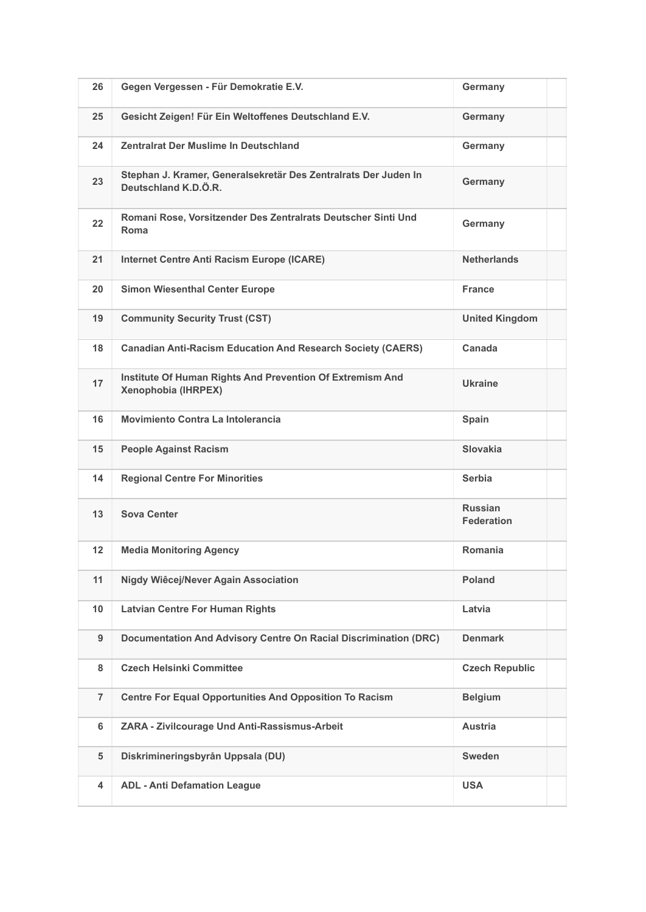| 26             | Gegen Vergessen - Für Demokratie E.V.                                                   | Germany                             |
|----------------|-----------------------------------------------------------------------------------------|-------------------------------------|
| 25             | Gesicht Zeigen! Für Ein Weltoffenes Deutschland E.V.                                    | Germany                             |
| 24             | Zentralrat Der Muslime In Deutschland                                                   | Germany                             |
| 23             | Stephan J. Kramer, Generalsekretär Des Zentralrats Der Juden In<br>Deutschland K.D.Ö.R. | Germany                             |
| 22             | Romani Rose, Vorsitzender Des Zentralrats Deutscher Sinti Und<br>Roma                   | Germany                             |
| 21             | <b>Internet Centre Anti Racism Europe (ICARE)</b>                                       | <b>Netherlands</b>                  |
| 20             | <b>Simon Wiesenthal Center Europe</b>                                                   | <b>France</b>                       |
| 19             | <b>Community Security Trust (CST)</b>                                                   | <b>United Kingdom</b>               |
| 18             | <b>Canadian Anti-Racism Education And Research Society (CAERS)</b>                      | Canada                              |
| 17             | Institute Of Human Rights And Prevention Of Extremism And<br>Xenophobia (IHRPEX)        | <b>Ukraine</b>                      |
| 16             | Movimiento Contra La Intolerancia                                                       | Spain                               |
| 15             | <b>People Against Racism</b>                                                            | <b>Slovakia</b>                     |
| 14             | <b>Regional Centre For Minorities</b>                                                   | <b>Serbia</b>                       |
| 13             | <b>Sova Center</b>                                                                      | <b>Russian</b><br><b>Federation</b> |
| 12             | <b>Media Monitoring Agency</b>                                                          | Romania                             |
| 11             | Nigdy Wiêcej/Never Again Association                                                    | Poland                              |
| 10             | <b>Latvian Centre For Human Rights</b>                                                  | Latvia                              |
| 9              | Documentation And Advisory Centre On Racial Discrimination (DRC)                        | <b>Denmark</b>                      |
| 8              | <b>Czech Helsinki Committee</b>                                                         | <b>Czech Republic</b>               |
| $\overline{7}$ | <b>Centre For Equal Opportunities And Opposition To Racism</b>                          | <b>Belgium</b>                      |
| 6              | ZARA - Zivilcourage Und Anti-Rassismus-Arbeit                                           | <b>Austria</b>                      |
| 5              | Diskrimineringsbyrån Uppsala (DU)                                                       | <b>Sweden</b>                       |
| 4              | <b>ADL - Anti Defamation League</b>                                                     | <b>USA</b>                          |